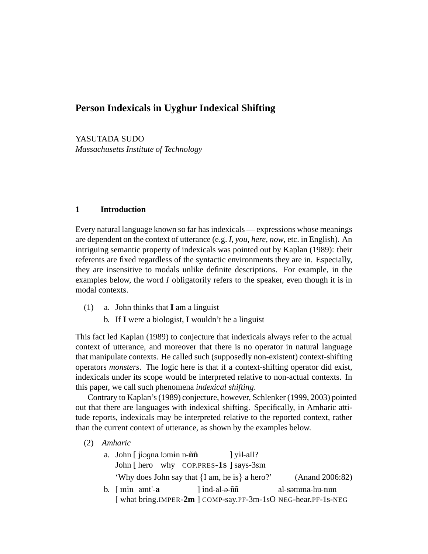YASUTADA SUDO *Massachusetts Institute of Technology*

# **1 Introduction**

Every natural language known so far has indexicals — expressions whose meanings are dependent on the context of utterance (e.g. *I*, *you*, *here*, *now*, etc. in English). An intriguing semantic property of indexicals was pointed out by Kaplan (1989): their referents are fixed regardless of the syntactic environments they are in. Especially, they are insensitive to modals unlike definite descriptions. For example, in the examples below, the word *I* obligatorily refers to the speaker, even though it is in modal contexts.

- (1) a. John thinks that **I** am a linguist
	- b. If **I** were a biologist, **I** wouldn't be a linguist

This fact led Kaplan (1989) to conjecture that indexicals always refer to the actual context of utterance, and moreover that there is no operator in natural language that manipulate contexts. He called such (supposedly non-existent) context-shifting operators *monsters*. The logic here is that if a context-shifting operator did exist, indexicals under its scope would be interpreted relative to non-actual contexts. In this paper, we call such phenomena *indexical shifting*.

Contrary to Kaplan's (1989) conjecture, however, Schlenker (1999, 2003) pointed out that there are languages with indexical shifting. Specifically, in Amharic attitude reports, indexicals may be interpreted relative to the reported context, rather than the current context of utterance, as shown by the examples below.

(2) *Amharic*

| a. John [ jiəqna ləmin n- <b>ññ</b>            |                                       | $\vert$ yil-all? |                                                               |
|------------------------------------------------|---------------------------------------|------------------|---------------------------------------------------------------|
| John [ hero why COP.PRES-1S ] says-3sm         |                                       |                  |                                                               |
| 'Why does John say that {I am, he is} a hero?' |                                       |                  | (Anand 2006:82)                                               |
| b. $\lceil \text{min} \text{ amt}' - a \rceil$ | $\mid$ ind-al-ə- $\tilde{n}\tilde{n}$ |                  | al-səmma-hu-mm                                                |
|                                                |                                       |                  | [ what bring.IMPER-2m ] COMP-say.PF-3m-1sO NEG-hear.PF-1s-NEG |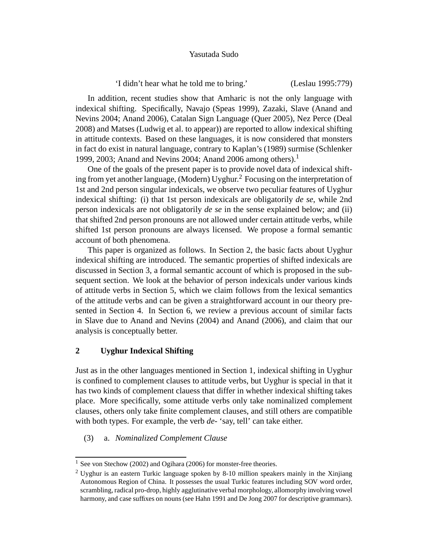'I didn't hear what he told me to bring.' (Leslau 1995:779)

In addition, recent studies show that Amharic is not the only language with indexical shifting. Specifically, Navajo (Speas 1999), Zazaki, Slave (Anand and Nevins 2004; Anand 2006), Catalan Sign Language (Quer 2005), Nez Perce (Deal 2008) and Matses (Ludwig et al. to appear)) are reported to allow indexical shifting in attitude contexts. Based on these languages, it is now considered that monsters in fact do exist in natural language, contrary to Kaplan's (1989) surmise (Schlenker 1999, 2003; Anand and Nevins 2004; Anand 2006 among others).<sup>1</sup>

One of the goals of the present paper is to provide novel data of indexical shifting from yet another language, (Modern) Uyghur.<sup>2</sup> Focusing on the interpretation of 1st and 2nd person singular indexicals, we observe two peculiar features of Uyghur indexical shifting: (i) that 1st person indexicals are obligatorily *de se*, while 2nd person indexicals are not obligatorily *de se* in the sense explained below; and (ii) that shifted 2nd person pronouns are not allowed under certain attitude verbs, while shifted 1st person pronouns are always licensed. We propose a formal semantic account of both phenomena.

This paper is organized as follows. In Section 2, the basic facts about Uyghur indexical shifting are introduced. The semantic properties of shifted indexicals are discussed in Section 3, a formal semantic account of which is proposed in the subsequent section. We look at the behavior of person indexicals under various kinds of attitude verbs in Section 5, which we claim follows from the lexical semantics of the attitude verbs and can be given a straightforward account in our theory presented in Section 4. In Section 6, we review a previous account of similar facts in Slave due to Anand and Nevins (2004) and Anand (2006), and claim that our analysis is conceptually better.

# **2 Uyghur Indexical Shifting**

Just as in the other languages mentioned in Section 1, indexical shifting in Uyghur is confined to complement clauses to attitude verbs, but Uyghur is special in that it has two kinds of complement clauess that differ in whether indexical shifting takes place. More specifically, some attitude verbs only take nominalized complement clauses, others only take finite complement clauses, and still others are compatible with both types. For example, the verb *de-* 'say, tell' can take either.

(3) a. *Nominalized Complement Clause*

<sup>&</sup>lt;sup>1</sup> See von Stechow (2002) and Ogihara (2006) for monster-free theories.

<sup>&</sup>lt;sup>2</sup> Uyghur is an eastern Turkic language spoken by 8-10 million speakers mainly in the Xinjiang Autonomous Region of China. It possesses the usual Turkic features including SOV word order, scrambling, radical pro-drop, highly agglutinative verbal morphology, allomorphy involving vowel harmony, and case suffixes on nouns (see Hahn 1991 and De Jong 2007 for descriptive grammars).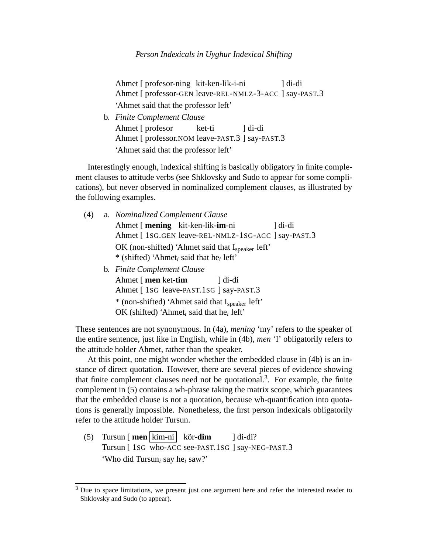Ahmet [ profesor-ning kit-ken-lik-i-ni Ahmet [ professor-GEN leave-REL-NMLZ-3-ACC ] say-PAST.3 ] di-di 'Ahmet said that the professor left'

b. *Finite Complement Clause* Ahmet [ profesor Ahmet [ professor.NOM leave-PAST.3 ] say-PAST.3 ket-ti ] di-di 'Ahmet said that the professor left'

Interestingly enough, indexical shifting is basically obligatory in finite complement clauses to attitude verbs (see Shklovsky and Sudo to appear for some complications), but never observed in nominalized complement clauses, as illustrated by the following examples.

| (4) | a. Nominalized Complement Clause                                |  |  |  |
|-----|-----------------------------------------------------------------|--|--|--|
|     | Ahmet [ mening kit-ken-lik-im-ni<br>1 di-di                     |  |  |  |
|     | Ahmet [ 1SG.GEN leave-REL-NMLZ-1SG-ACC ] say-PAST.3             |  |  |  |
|     | OK (non-shifted) 'Ahmet said that I <sub>speaker</sub> left'    |  |  |  |
|     | * (shifted) 'Ahmet <sub>i</sub> said that he <sub>i</sub> left' |  |  |  |
|     | b. Finite Complement Clause                                     |  |  |  |
|     | Ahmet [ men ket-tim<br>l di-di                                  |  |  |  |
|     | Ahmet [1sG leave-PAST.1sG ] say-PAST.3                          |  |  |  |
|     |                                                                 |  |  |  |

\* (non-shifted) 'Ahmet said that Ispeaker left'

OK (shifted) 'Ahmet*<sup>i</sup>* said that he*<sup>i</sup>* left'

These sentences are not synonymous. In (4a), *mening* 'my' refers to the speaker of the entire sentence, just like in English, while in (4b), *men* 'I' obligatorily refers to the attitude holder Ahmet, rather than the speaker.

At this point, one might wonder whether the embedded clause in (4b) is an instance of direct quotation. However, there are several pieces of evidence showing that finite complement clauses need not be quotational.<sup>3</sup>. For example, the finite complement in (5) contains a wh-phrase taking the matrix scope, which guarantees that the embedded clause is not a quotation, because wh-quantification into quotations is generally impossible. Nonetheless, the first person indexicals obligatorily refer to the attitude holder Tursun.

(5) Tursun [**men** | kim-ni | kör-**dim** Tursun [ 1SG who-ACC see-PAST.1SG ] say-NEG-PAST.3 ] di-di? 'Who did Tursun*<sup>i</sup>* say he*<sup>i</sup>* saw?'

 $3$  Due to space limitations, we present just one argument here and refer the interested reader to Shklovsky and Sudo (to appear).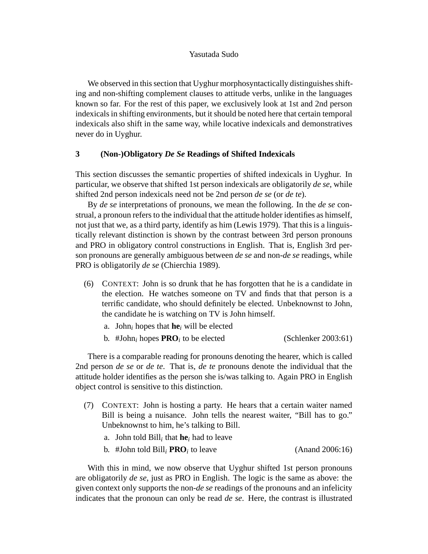We observed in this section that Uyghur morphosyntactically distinguishes shifting and non-shifting complement clauses to attitude verbs, unlike in the languages known so far. For the rest of this paper, we exclusively look at 1st and 2nd person indexicals in shifting environments, but it should be noted here that certain temporal indexicals also shift in the same way, while locative indexicals and demonstratives never do in Uyghur.

### **3 (Non-)Obligatory** *De Se* **Readings of Shifted Indexicals**

This section discusses the semantic properties of shifted indexicals in Uyghur. In particular, we observe that shifted 1st person indexicals are obligatorily *de se*, while shifted 2nd person indexicals need not be 2nd person *de se* (or *de te*).

By *de se* interpretations of pronouns, we mean the following. In the *de se* construal, a pronoun refers to the individual that the attitude holder identifies as himself, not just that we, as a third party, identify as him (Lewis 1979). That this is a linguistically relevant distinction is shown by the contrast between 3rd person pronouns and PRO in obligatory control constructions in English. That is, English 3rd person pronouns are generally ambiguous between *de se* and non-*de se* readings, while PRO is obligatorily *de se* (Chierchia 1989).

- (6) CONTEXT: John is so drunk that he has forgotten that he is a candidate in the election. He watches someone on TV and finds that that person is a terrific candidate, who should definitely be elected. Unbeknownst to John, the candidate he is watching on TV is John himself.
	- a. John<sub>i</sub> hopes that  $\mathbf{he}_i$  will be elected
	- b. #John<sub>i</sub> hopes  $\mathbf{PRO}_i$  to be elected  $(Schlenker 2003:61)$

There is a comparable reading for pronouns denoting the hearer, which is called 2nd person *de se* or *de te*. That is, *de te* pronouns denote the individual that the attitude holder identifies as the person she is/was talking to. Again PRO in English object control is sensitive to this distinction.

- (7) CONTEXT: John is hosting a party. He hears that a certain waiter named Bill is being a nuisance. John tells the nearest waiter, "Bill has to go." Unbeknownst to him, he's talking to Bill.
	- a. John told Bill*<sup>i</sup>* that **he***<sup>i</sup>* had to leave
	- b. #John told  $\text{Bill}_i$  **PRO***i* to leave  $(Anand 2006:16)$

With this in mind, we now observe that Uyghur shifted 1st person pronouns are obligatorily *de se*, just as PRO in English. The logic is the same as above: the given context only supports the non-*de se* readings of the pronouns and an infelicity indicates that the pronoun can only be read *de se*. Here, the contrast is illustrated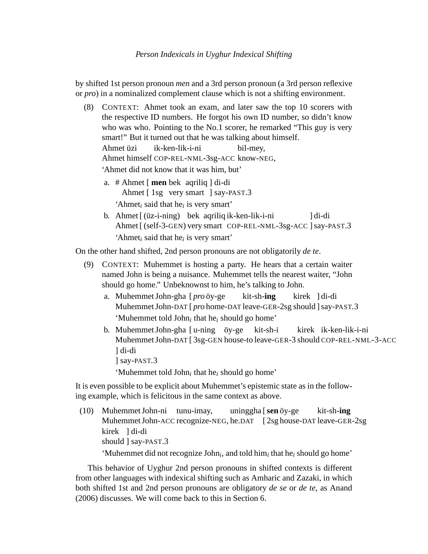by shifted 1st person pronoun *men* and a 3rd person pronoun (a 3rd person reflexive or *pro*) in a nominalized complement clause which is not a shifting environment.

- (8) CONTEXT: Ahmet took an exam, and later saw the top 10 scorers with the respective ID numbers. He forgot his own ID number, so didn't know who was who. Pointing to the No.1 scorer, he remarked "This guy is very smart!" But it turned out that he was talking about himself. Ahmet üzi Ahmet himself COP-REL-NML-3sg-ACC know-NEG, ik-ken-lik-i-ni bil-mey, 'Ahmet did not know that it was him, but'
	- a. # Ahmet [ **men** bek aqriliq ] di-di Ahmet [ 1sg very smart ] say-PAST.3 'Ahmet*<sup>i</sup>* said that he*<sup>i</sup>* is very smart'
	- b. Ahmet [(üz-i-ning) bek aqriliq ik-ken-lik-i-ni Ahmet [ (self-3-GEN) very smart COP-REL-NML-3sg-ACC ] say-PAST.3 ] di-di 'Ahmet*<sup>i</sup>* said that he*<sup>i</sup>* is very smart'

On the other hand shifted, 2nd person pronouns are not obligatorily *de te*.

- (9) CONTEXT: Muhemmet is hosting a party. He hears that a certain waiter named John is being a nuisance. Muhemmet tells the nearest waiter, "John should go home." Unbeknownst to him, he's talking to John.
	- a. Muhemmet John-gha [pro öy-ge Muhemmet John-DAT [ *pro* home-DAT leave-GER-2sg should ] say-PAST.3 kit-sh-**ing** kirek ] di-di 'Muhemmet told John*<sup>i</sup>* that he*<sup>i</sup>* should go home'
	- b. Muhemmet John-gha [u-ning öy-ge Muhemmet John-DAT [ 3sg-GEN house-to leave-GER-3 should COP-REL-NML-3-ACC kit-sh-i kirek ik-ken-lik-i-ni ] di-di
		- ] say-PAST.3

'Muhemmet told John*<sup>i</sup>* that he*<sup>i</sup>* should go home'

It is even possible to be explicit about Muhemmet's epistemic state as in the following example, which is felicitous in the same context as above.

(10) Muhemmet John-ni tunu-imay, Muhemmet John-ACC recognize-NEG, he.DAT [ 2sg house-DAT leave-GER-2sg uninggha [ sen öy-ge kit-sh-**ing** kirek ] di-di should ] say-PAST.3

'Muhemmet did not recognize John*<sup>i</sup>* , and told him*<sup>i</sup>* that he*<sup>i</sup>* should go home'

This behavior of Uyghur 2nd person pronouns in shifted contexts is different from other languages with indexical shifting such as Amharic and Zazaki, in which both shifted 1st and 2nd person pronouns are obligatory *de se* or *de te*, as Anand (2006) discusses. We will come back to this in Section 6.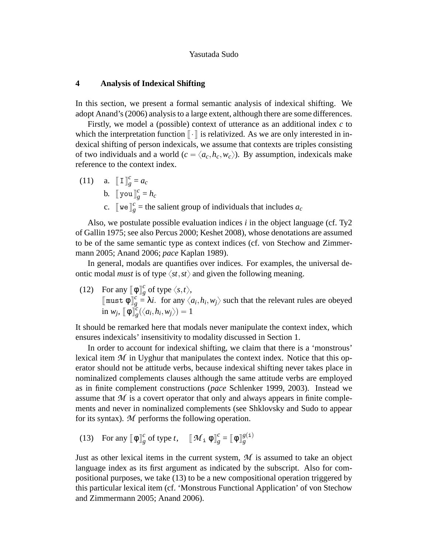### **4 Analysis of Indexical Shifting**

In this section, we present a formal semantic analysis of indexical shifting. We adopt Anand's (2006) analysis to a large extent, although there are some differences.

Firstly, we model a (possible) context of utterance as an additional index *c* to which the interpretation function  $\llbracket \cdot \rrbracket$  is relativized. As we are only interested in indexical shifting of person indexicals, we assume that contexts are triples consisting of two individuals and a world ( $c = \langle a_c, h_c, w_c \rangle$ ). By assumption, indexicals make reference to the context index.

(11) a.  $\llbracket \mathbf{I} \rrbracket_{\varrho}^c$  $\frac{c}{g} = a_c$ b.  $\llbracket \text{ you} \rrbracket_g^c = h_c$ c. [ $w \in \int_{g}^{c}$  = the salient group of individuals that includes  $a_c$ 

Also, we postulate possible evaluation indices *i* in the object language (cf. Ty2 of Gallin 1975; see also Percus 2000; Keshet 2008), whose denotations are assumed to be of the same semantic type as context indices (cf. von Stechow and Zimmermann 2005; Anand 2006; *pace* Kaplan 1989).

In general, modals are quantifies over indices. For examples, the universal deontic modal *must* is of type  $\langle st, st \rangle$  and given the following meaning.

(12) For any  $\left[\!\!\left[ \phi \right]\!\!\right]_e^c$  $\frac{c}{g}$  of type  $\langle s,t \rangle$ ,  $[\![$ must  $\phi \!]^c_\varrho$  $g = \lambda i$ . for any  $\langle a_i, h_i, w_j \rangle$  such that the relevant rules are obeyed  $\text{in } w_j, \llbracket \phi \rrbracket^c_g$  $\binom{c}{g}(\langle a_i, h_i, w_j \rangle) = 1$ 

It should be remarked here that modals never manipulate the context index, which ensures indexicals' insensitivity to modality discussed in Section 1.

In order to account for indexical shifting, we claim that there is a 'monstrous' lexical item  $M$  in Uyghur that manipulates the context index. Notice that this operator should not be attitude verbs, because indexical shifting never takes place in nominalized complements clauses although the same attitude verbs are employed as in finite complement constructions (*pace* Schlenker 1999, 2003). Instead we assume that  $M$  is a covert operator that only and always appears in finite complements and never in nominalized complements (see Shklovsky and Sudo to appear for its syntax). *M* performs the following operation.

(13) For any  $\left[\!\!\left[ \phi \right]\!\!\right]_e^c$  $\frac{c}{g}$  of type *t*,  $\left[\mathcal{M}_{\text{i}} \phi\right]_g^c$  $\frac{c}{g} = \llbracket \, \varphi \, \rrbracket^{g(\mathtt{i})}_g$ *g*

Just as other lexical items in the current system, *M* is assumed to take an object language index as its first argument as indicated by the subscript. Also for compositional purposes, we take (13) to be a new compositional operation triggered by this particular lexical item (cf. 'Monstrous Functional Application' of von Stechow and Zimmermann 2005; Anand 2006).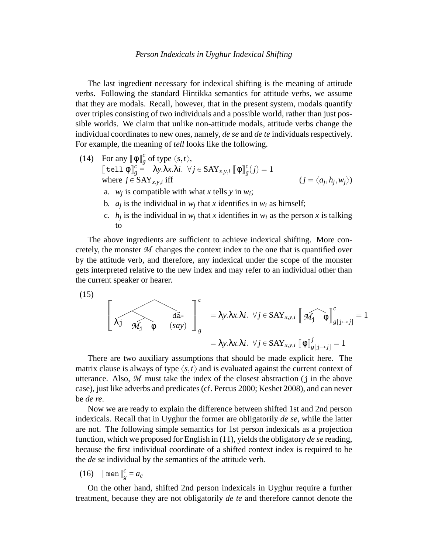The last ingredient necessary for indexical shifting is the meaning of attitude verbs. Following the standard Hintikka semantics for attitude verbs, we assume that they are modals. Recall, however, that in the present system, modals quantify over triples consisting of two individuals and a possible world, rather than just possible worlds. We claim that unlike non-attitude modals, attitude verbs change the individual coordinates to new ones, namely, *de se* and *de te* individuals respectively. For example, the meaning of *tell* looks like the following.

- (14) For any  $\llbracket \phi \rrbracket_{\varrho}^c$  $\frac{c}{g}$  of type  $\langle s,t \rangle$ ,  $[\![$ tell $\phi$  $]\!]^c_\varrho$  $g \stackrel{c}{=} \lambda y.\lambda x.\lambda i. \forall j \in \text{SAY}_{x,y,i}$   $[\![ \Phi \ ]\!]_g^c$  $g'(j) = 1$ where  $j \in \text{SAY}_{x,y,i}$  iff iff  $(j = \langle a_j, h_j, w_j \rangle)$ 
	- a.  $w_j$  is compatible with what *x* tells *y* in  $w_i$ ;
	- b.  $a_j$  is the individual in  $w_j$  that *x* identifies in  $w_i$  as himself;
	- c.  $h_j$  is the individual in  $w_j$  that *x* identifies in  $w_i$  as the person *x* is talking to

The above ingredients are sufficient to achieve indexical shifting. More concretely, the monster  $M$  changes the context index to the one that is quantified over by the attitude verb, and therefore, any indexical under the scope of the monster gets interpreted relative to the new index and may refer to an individual other than the current speaker or hearer.

$$
(15)
$$

$$
\begin{bmatrix}\n\lambda_j & \lambda_{j} & \lambda_{j} \\
\lambda_{j} & \lambda_{j} & \phi\n\end{bmatrix}^{c} = \lambda y. \lambda x. \lambda i. \ \forall j \in \text{SAY}_{x,y,i} \left[\n\widehat{\mathcal{M}_{j}} \phi\right]^{c}_{g[j \rightarrow j]} = 1
$$
\n
$$
= \lambda y. \lambda x. \lambda i. \ \forall j \in \text{SAY}_{x,y,i} \left[\n\phi\right]^{j}_{g[j \rightarrow j]} = 1
$$

There are two auxiliary assumptions that should be made explicit here. The matrix clause is always of type  $\langle s,t \rangle$  and is evaluated against the current context of utterance. Also,  $M$  must take the index of the closest abstraction (j in the above case), just like adverbs and predicates (cf. Percus 2000; Keshet 2008), and can never be *de re*.

Now we are ready to explain the difference between shifted 1st and 2nd person indexicals. Recall that in Uyghur the former are obligatorily *de se*, while the latter are not. The following simple semantics for 1st person indexicals as a projection function, which we proposed for English in (11), yields the obligatory *de se* reading, because the first individual coordinate of a shifted context index is required to be the *de se* individual by the semantics of the attitude verb.

$$
(16) \quad \texttt{[men]}_g^c = a_c
$$

 $\overline{a}$ 

On the other hand, shifted 2nd person indexicals in Uyghur require a further treatment, because they are not obligatorily *de te* and therefore cannot denote the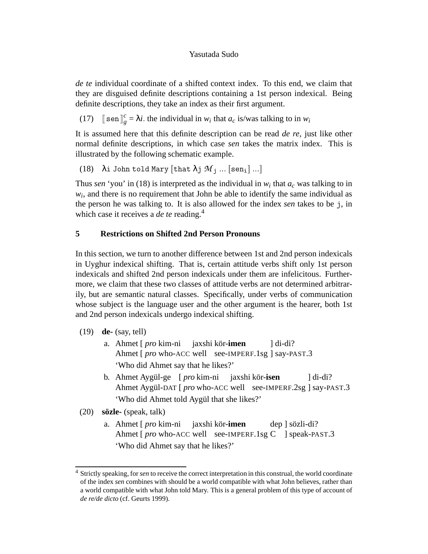*de te* individual coordinate of a shifted context index. To this end, we claim that they are disguised definite descriptions containing a 1st person indexical. Being definite descriptions, they take an index as their first argument.

 $(17)$   $[\text{sen}]^c_\rho$  $g_g^c = \lambda i$ . the individual in  $w_i$  that  $a_c$  is/was talking to in  $w_i$ 

It is assumed here that this definite description can be read *de re*, just like other normal definite descriptions, in which case *sen* takes the matrix index. This is illustrated by the following schematic example.

(18)  $\lambda$ i John told Mary [that  $\lambda$ j  $M$ <sub>i</sub> ... [sen<sub>i</sub>] ...]

Thus *sen* 'you' in (18) is interpreted as the individual in  $w_i$  that  $a_c$  was talking to in  $w_i$ , and there is no requirement that John be able to identify the same individual as the person he was talking to. It is also allowed for the index *sen* takes to be j, in which case it receives a *de te* reading.<sup>4</sup>

# **5 Restrictions on Shifted 2nd Person Pronouns**

In this section, we turn to another difference between 1st and 2nd person indexicals in Uyghur indexical shifting. That is, certain attitude verbs shift only 1st person indexicals and shifted 2nd person indexicals under them are infelicitous. Furthermore, we claim that these two classes of attitude verbs are not determined arbitrarily, but are semantic natural classes. Specifically, under verbs of communication whose subject is the language user and the other argument is the hearer, both 1st and 2nd person indexicals undergo indexical shifting.

- (19) **de-** (say, tell)
	- a. Ahmet [ *pro* kim-ni Ahmet [ *pro* who-ACC well see-IMPERF.1sg ] say-PAST.3 jaxshi kör-**imen** ] di-di? 'Who did Ahmet say that he likes?'
	- b. Ahmet Aygül-ge [*pro* kim-ni Ahmet Aygül-DAT [ *pro* who-ACC well see-IMPERF.2sg ] say-PAST.3 jaxshi kör-**isen** ] di-di? 'Who did Ahmet told Aygül that she likes?'

(20) **sozle- ¨** (speak, talk)

a. Ahmet [ *pro* kim-ni Ahmet [*pro* who-ACC well see-IMPERF.1sg C ] speak-PAST.3 jaxshi kör-**imen** dep ] sözli-di? 'Who did Ahmet say that he likes?'

<sup>4</sup> Strictly speaking, for *sen* to receive the correct interpretation in this construal, the world coordinate of the index *sen* combines with should be a world compatible with what John believes, rather than a world compatible with what John told Mary. This is a general problem of this type of account of *de re/de dicto* (cf. Geurts 1999).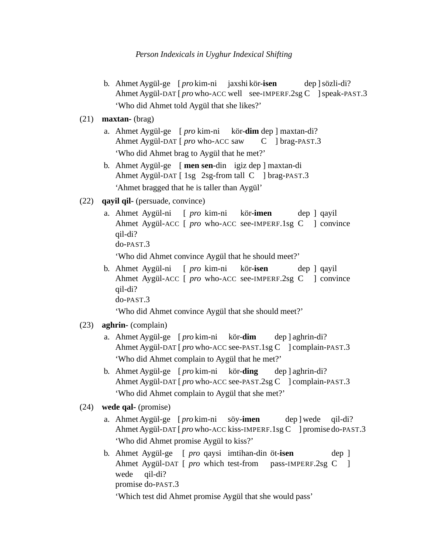- b. Ahmet Aygül-ge [*pro* kim-ni jaxshi kör-isen Ahmet Aygül-DAT [*pro* who-ACC well see-IMPERF.2sg C ] speak-PAST.3 dep ] sözli-di? 'Who did Ahmet told Aygül that she likes?'
- (21) **maxtan-** (brag)
	- a. Ahmet Aygül-ge [ pro kim-ni Ahmet Aygül-DAT [ *pro* who-ACC saw kör-**dim** dep ] maxtan-di? C ] brag-PAST.3 'Who did Ahmet brag to Aygül that he met?'
	- b. Ahmet Aygül-ge [ men sen-din igiz dep ] maxtan-di Ahmet Aygül-DAT [ 1sg 2sg-from tall C ] brag-PAST.3 'Ahmet bragged that he is taller than Aygül'
- (22) **qayil qil-** (persuade, convince)
	- a. Ahmet Aygül-ni [ pro kim-ni Ahmet Aygül-ACC [ *pro* who-ACC see-IMPERF.1sg C ] convince kör-**imen** dep ] qayil qil-di? do-PAST.3

'Who did Ahmet convince Aygül that he should meet?'

b. Ahmet Aygül-ni Ahmet Aygül-ACC [ *pro* who-ACC see-IMPERF.2sg C ] convince [ *pro* kim-ni kör-**isen** dep ] qayil qil-di? do-PAST.3

'Who did Ahmet convince Aygül that she should meet?'

- (23) **aghrin-** (complain)
	- a. Ahmet Aygül-ge [*pro* kim-ni Ahmet Ayg¨ul-DAT [ *pro* who-ACC see-PAST.1sg C ] complain-PAST.3 kör-**dim** dep ] aghrin-di? 'Who did Ahmet complain to Aygül that he met?'
	- b. Ahmet Aygül-ge [*pro* kim-ni Ahmet Aygül-DAT [*pro* who-ACC see-PAST.2sg C ] complain-PAST.3 kör-**ding** dep ] aghrin-di? 'Who did Ahmet complain to Aygül that she met?'
- (24) **wede qal-** (promise)
	- a. Ahmet Aygül-ge [*pro* kim-ni Ahmet Aygül-DAT [*pro* who-ACC kiss-IMPERF.1sg C ] promise do-PAST.3 söy-**imen** dep ] wede qil-di? 'Who did Ahmet promise Aygül to kiss?'
	- b. Ahmet Aygül-ge [ *pro* qaysi imtihan-din öt-isen Ahmet Aygül-DAT [ *pro* which test-from pass-IMPERF.2sg C ] dep ] wede promise do-PAST.3 qil-di?

'Which test did Ahmet promise Aygül that she would pass'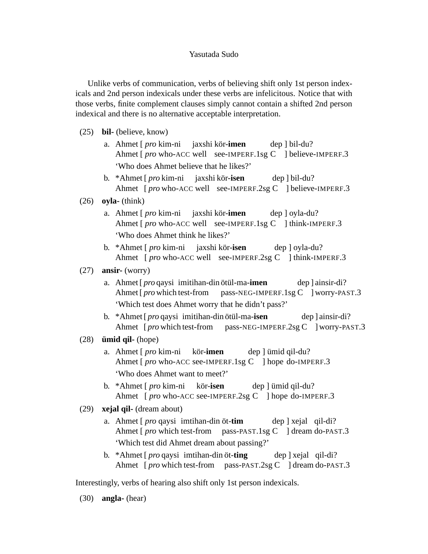Unlike verbs of communication, verbs of believing shift only 1st person indexicals and 2nd person indexicals under these verbs are infelicitous. Notice that with those verbs, finite complement clauses simply cannot contain a shifted 2nd person indexical and there is no alternative acceptable interpretation.

- (25) **bil-** (believe, know)
	- a. Ahmet [ *pro* kim-ni Ahmet [*pro* who-ACC well see-IMPERF.1sg C ] believe-IMPERF.3 jaxshi kör-**imen** dep ] bil-du? 'Who does Ahmet believe that he likes?'
	- b. \*Ahmet [ *pro* kim-ni jaxshi kör-**isen** Ahmet [*pro* who-ACC well see-IMPERF.2sg C ] believe-IMPERF.3 dep ] bil-du?

### (26) **oyla-** (think)

- a. Ahmet [*pro* kim-ni jaxshi kör-imen Ahmet [*pro* who-ACC well see-IMPERF.1sg C ] think-IMPERF.3 dep ] oyla-du? 'Who does Ahmet think he likes?'
- b. \*Ahmet [ *pro* kim-ni Ahmet [*pro* who-ACC well see-IMPERF.2sg C ] think-IMPERF.3 jaxshi kör-**isen** dep ] oyla-du?

# (27) **ansir-** (worry)

- a. Ahmet [*pro* qaysi imitihan-din ötül-ma-imen Ahmet [ *pro* which test-from pass-NEG-IMPERF.1sg C ] worry-PAST.3 dep ] ainsir-di? 'Which test does Ahmet worry that he didn't pass?'
- b. \*Ahmet [*pro* qaysi imitihan-din ötül-ma-**isen** Ahmet [*pro* which test-from pass-NEG-IMPERF.2sg C ] worry-PAST.3 dep ] ainsir-di?
- $(28)$  **ümid gil-** (hope)
	- a. Ahmet [ *pro* kim-ni Ahmet [*pro* who-ACC see-IMPERF.1sg C ] hope do-IMPERF.3 kör-**imen** dep ] ümid qil-du? 'Who does Ahmet want to meet?'
	- b. \*Ahmet [ *pro* kim-ni Ahmet [*pro* who-ACC see-IMPERF.2sg C ] hope do-IMPERF.3 kör-**isen** dep ] ümid qil-du?
- (29) **xejal qil-** (dream about)
	- a. Ahmet [*pro* qaysi imtihan-din öt-tim Ahmet [*pro* which test-from pass-PAST.1sg C ] dream do-PAST.3 dep ] xejal qil-di? 'Which test did Ahmet dream about passing?'
	- b. \*Ahmet [*pro* qaysi imtihan-din öt-ting Ahmet [*pro* which test-from pass-PAST.2sg C ] dream do-PAST.3 dep ] xejal qil-di?

Interestingly, verbs of hearing also shift only 1st person indexicals.

(30) **angla-** (hear)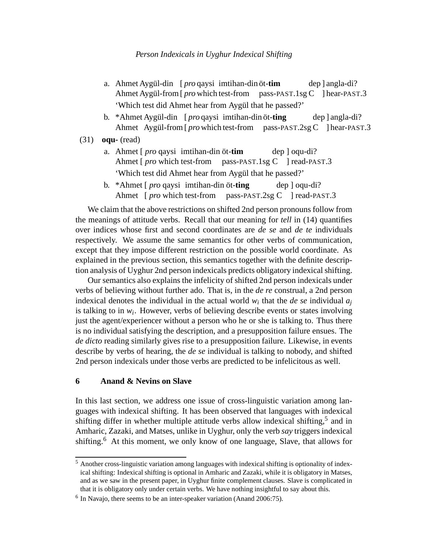- a. Ahmet Aygül-din [*pro* qaysi imtihan-din öt-tim Ahmet Aygül-from [*pro* which test-from pass-PAST.1sg C ] hear-PAST.3 dep ] angla-di? 'Which test did Ahmet hear from Aygül that he passed?'
- b. \*Ahmet Aygül-din [*pro* qaysi imtihan-din öt-ting Ahmet Aygül-from [*pro* which test-from pass-PAST.2sg C ] hear-PAST.3 dep ] angla-di?
- (31) **oqu-** (read)
	- a. Ahmet [*pro* qaysi imtihan-din öt-tim Ahmet [ *pro* which test-from pass-PAST.1sg C ] read-PAST.3 dep ] oqu-di? 'Which test did Ahmet hear from Aygül that he passed?'
	- b. \*Ahmet [*pro* qaysi imtihan-din öt-ting Ahmet [*pro* which test-from pass-PAST.2sg C ] read-PAST.3 dep ] oqu-di?

We claim that the above restrictions on shifted 2nd person pronouns follow from the meanings of attitude verbs. Recall that our meaning for *tell* in (14) quantifies over indices whose first and second coordinates are *de se* and *de te* individuals respectively. We assume the same semantics for other verbs of communication, except that they impose different restriction on the possible world coordinate. As explained in the previous section, this semantics together with the definite description analysis of Uyghur 2nd person indexicals predicts obligatory indexical shifting.

Our semantics also explains the infelicity of shifted 2nd person indexicals under verbs of believing without further ado. That is, in the *de re* construal, a 2nd person indexical denotes the individual in the actual world  $w_i$  that the *de se* individual  $a_j$ is talking to in *w<sup>i</sup>* . However, verbs of believing describe events or states involving just the agent/experiencer without a person who he or she is talking to. Thus there is no individual satisfying the description, and a presupposition failure ensues. The *de dicto* reading similarly gives rise to a presupposition failure. Likewise, in events describe by verbs of hearing, the *de se* individual is talking to nobody, and shifted 2nd person indexicals under those verbs are predicted to be infelicitous as well.

### **6 Anand & Nevins on Slave**

In this last section, we address one issue of cross-linguistic variation among languages with indexical shifting. It has been observed that languages with indexical shifting differ in whether multiple attitude verbs allow indexical shifting,<sup>5</sup> and in Amharic, Zazaki, and Matses, unlike in Uyghur, only the verb *say* triggers indexical shifting.<sup>6</sup> At this moment, we only know of one language, Slave, that allows for

<sup>5</sup> Another cross-linguistic variation among languages with indexical shifting is optionality of indexical shifting: Indexical shifting is optional in Amharic and Zazaki, while it is obligatory in Matses, and as we saw in the present paper, in Uyghur finite complement clauses. Slave is complicated in that it is obligatory only under certain verbs. We have nothing insightful to say about this.

<sup>&</sup>lt;sup>6</sup> In Navajo, there seems to be an inter-speaker variation (Anand 2006:75).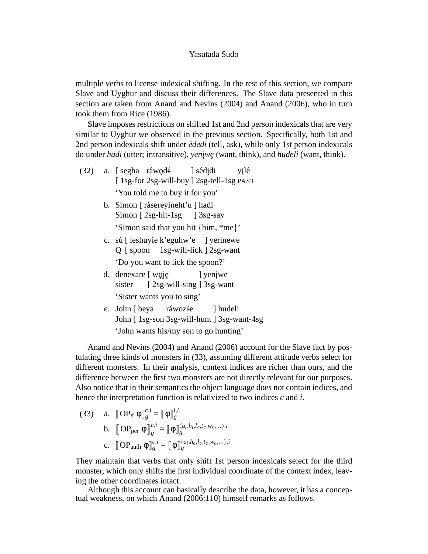multiple verbs to license indexical shifting. In the rest of this section, we compare Slave and Uyghur and discuss their differences. The Slave data presented in this section are taken from Anand and Nevins (2004) and Anand (2006), who in turn took them from Rice (1986).

Slave imposes restrictions on shifted 1st and 2nd person indexicals that are very similar to Uyghur we observed in the previous section. Specifically, both 1st and 2nd person indexicals shift under *ededi ´* (tell, ask), while only 1st person indexicals do under *hadi* (utter; intransitive), *yeniwe* (want, think), and *hudeli* (want, think).

- (32) a. [ segha ráwod<del>í</del> [ 1sg-for 2sg-will-buy ] 2sg-tell-1sg PAST ] sédjdi yilé 'You told me to buy it for you'
	- b. Simon [ rásereyineht'u ] hadi Simon [ 2sg-hit-1sg ] 3sg-say 'Simon said that you hit {him, \*me}'
	- c. sú [ leshuyie k'eguhw'e ] yerinewe Q [ spoon 1sg-will-lick ] 2sg-want 'Do you want to lick the spoon?'
	- d. denexare [ woję sister [2sg-will-sing] 3sg-want ] yeni¸we 'Sister wants you to sing'
	- e. John [ beya John [ 1sg-son 3sg-will-hunt ] 3sg-want-4sg ráwozíe ] hudeli 'John wants his/my son to go hunting'

Anand and Nevins (2004) and Anand (2006) account for the Slave fact by postulating three kinds of monsters in (33), assuming different attitude verbs select for different monsters. In their analysis, context indices are richer than ours, and the difference between the first two monsters are not directly relevant for our purposes. Also notice that in their semantics the object language does not contain indices, and hence the interpretation function is relativized to two indices *c* and *i*.

(33) a. 
$$
\begin{aligned}\n\llbracket \mathbf{OP}_{\forall} \; \phi \, \rrbracket_{g}^{c,i} &= \llbracket \; \phi \, \rrbracket_{g}^{i,i} \\
\mathbf{b.} \; \llbracket \mathbf{OP}_{\text{per}} \; \phi \, \rrbracket_{g}^{c,i} &= \llbracket \; \phi \, \rrbracket_{g}^{\langle a_i, h_i, l_c, t_c, w_c, \dots \rangle, i} \\
\mathbf{c.} \; \llbracket \mathbf{OP}_{\text{auth}} \; \phi \, \rrbracket_{g}^{c,i} &= \llbracket \; \phi \, \rrbracket_{g}^{\langle a_i, h_c, l_c, t_c, w_c, \dots \rangle, i}\n\end{aligned}
$$

They maintain that verbs that only shift 1st person indexicals select for the third monster, which only shifts the first individual coordinate of the context index, leaving the other coordinates intact.

Although this account can basically describe the data, however, it has a conceptual weakness, on which Anand (2006:110) himself remarks as follows.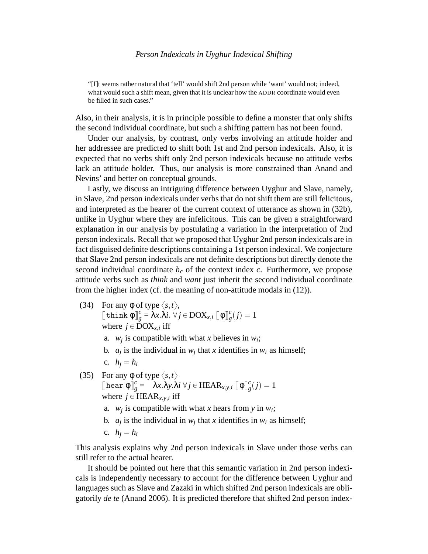"[I]t seems rather natural that 'tell' would shift 2nd person while 'want' would not; indeed, what would such a shift mean, given that it is unclear how the ADDR coordinate would even be filled in such cases."

Also, in their analysis, it is in principle possible to define a monster that only shifts the second individual coordinate, but such a shifting pattern has not been found.

Under our analysis, by contrast, only verbs involving an attitude holder and her addressee are predicted to shift both 1st and 2nd person indexicals. Also, it is expected that no verbs shift only 2nd person indexicals because no attitude verbs lack an attitude holder. Thus, our analysis is more constrained than Anand and Nevins' and better on conceptual grounds.

Lastly, we discuss an intriguing difference between Uyghur and Slave, namely, in Slave, 2nd person indexicals under verbs that do not shift them are still felicitous, and interpreted as the hearer of the current context of utterance as shown in (32b), unlike in Uyghur where they are infelicitous. This can be given a straightforward explanation in our analysis by postulating a variation in the interpretation of 2nd person indexicals. Recall that we proposed that Uyghur 2nd person indexicals are in fact disguised definite descriptions containing a 1st person indexical. We conjecture that Slave 2nd person indexicals are not definite descriptions but directly denote the second individual coordinate  $h_c$  of the context index  $c$ . Furthermore, we propose attitude verbs such as *think* and *want* just inherit the second individual coordinate from the higher index (cf. the meaning of non-attitude modals in (12)).

(34) For any  $\phi$  of type  $\langle s,t \rangle$ ,

 $\left[\begin{matrix} \text{think} \\ \text{pink} \\ \end{matrix}\right]_g^c = \lambda x.\lambda i. \forall j \in \text{DOX}_{x,i} \left[\begin{matrix} \phi \\ \phi \end{matrix}\right]_g^c$  $g'(j) = 1$ where  $j \in \text{DOX}_{x,i}$  iff

- a.  $w_j$  is compatible with what *x* believes in  $w_i$ ;
- b.  $a_j$  is the individual in  $w_j$  that *x* identifies in  $w_i$  as himself;
- c.  $h_i = h_i$
- (35) For any  $\phi$  of type  $\langle s,t \rangle$  $[\n [ \text{hear } \phi ]\n ]_e^c$  $\alpha_g^c = \lambda x.\lambda y.\lambda i \,\forall j \in \text{HEAR}_{x,y,i}$   $[\![ \Phi \ ]\!]^c_g$  $\frac{c}{g}(j) = 1$ where  $j \in \text{HEAR}_{x,y,i}$  iff
	- a.  $w_j$  is compatible with what *x* hears from *y* in  $w_i$ ;
	- b.  $a_j$  is the individual in  $w_j$  that *x* identifies in  $w_i$  as himself;
	- c.  $h_i = h_i$

This analysis explains why 2nd person indexicals in Slave under those verbs can still refer to the actual hearer.

It should be pointed out here that this semantic variation in 2nd person indexicals is independently necessary to account for the difference between Uyghur and languages such as Slave and Zazaki in which shifted 2nd person indexicals are obligatorily *de te* (Anand 2006). It is predicted therefore that shifted 2nd person index-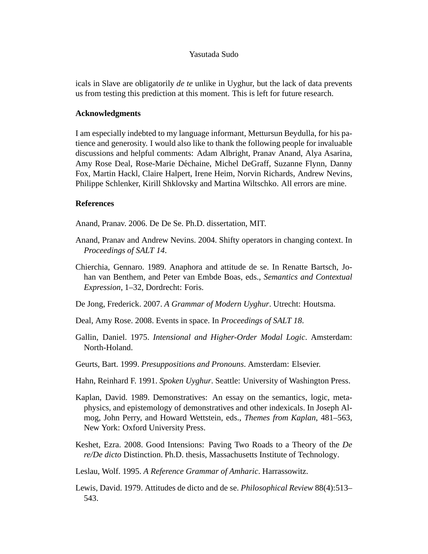icals in Slave are obligatorily *de te* unlike in Uyghur, but the lack of data prevents us from testing this prediction at this moment. This is left for future research.

### **Acknowledgments**

I am especially indebted to my language informant, Mettursun Beydulla, for his patience and generosity. I would also like to thank the following people for invaluable discussions and helpful comments: Adam Albright, Pranav Anand, Alya Asarina, Amy Rose Deal, Rose-Marie Déchaine, Michel DeGraff, Suzanne Flynn, Danny Fox, Martin Hackl, Claire Halpert, Irene Heim, Norvin Richards, Andrew Nevins, Philippe Schlenker, Kirill Shklovsky and Martina Wiltschko. All errors are mine.

#### **References**

Anand, Pranav. 2006. De De Se. Ph.D. dissertation, MIT.

- Anand, Pranav and Andrew Nevins. 2004. Shifty operators in changing context. In *Proceedings of SALT 14*.
- Chierchia, Gennaro. 1989. Anaphora and attitude de se. In Renatte Bartsch, Johan van Benthem, and Peter van Embde Boas, eds., *Semantics and Contextual Expression*, 1–32, Dordrecht: Foris.
- De Jong, Frederick. 2007. *A Grammar of Modern Uyghur*. Utrecht: Houtsma.
- Deal, Amy Rose. 2008. Events in space. In *Proceedings of SALT 18*.
- Gallin, Daniel. 1975. *Intensional and Higher-Order Modal Logic*. Amsterdam: North-Holand.
- Geurts, Bart. 1999. *Presuppositions and Pronouns*. Amsterdam: Elsevier.
- Hahn, Reinhard F. 1991. *Spoken Uyghur*. Seattle: University of Washington Press.
- Kaplan, David. 1989. Demonstratives: An essay on the semantics, logic, metaphysics, and epistemology of demonstratives and other indexicals. In Joseph Almog, John Perry, and Howard Wettstein, eds., *Themes from Kaplan*, 481–563, New York: Oxford University Press.
- Keshet, Ezra. 2008. Good Intensions: Paving Two Roads to a Theory of the *De re/De dicto* Distinction. Ph.D. thesis, Massachusetts Institute of Technology.
- Leslau, Wolf. 1995. *A Reference Grammar of Amharic*. Harrassowitz.
- Lewis, David. 1979. Attitudes de dicto and de se. *Philosophical Review* 88(4):513– 543.